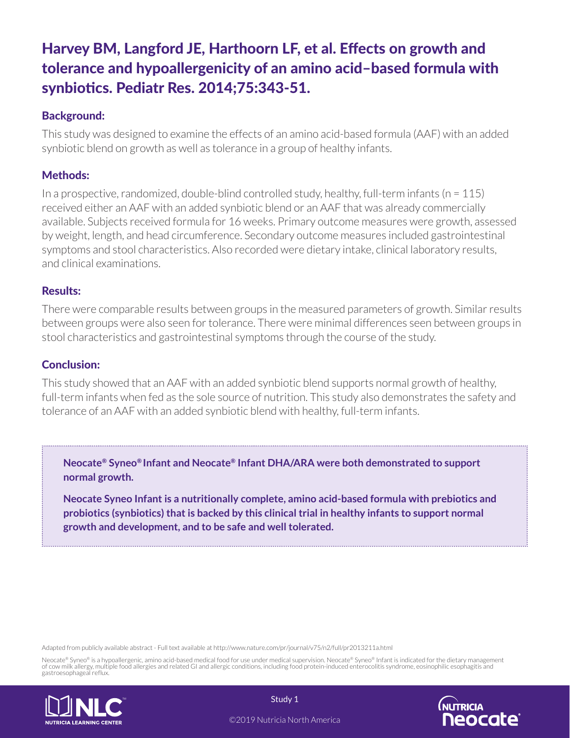# Harvey BM, Langford JE, Harthoorn LF, et al. Effects on growth and tolerance and hypoallergenicity of an amino acid–based formula with synbiotics. Pediatr Res. 2014;75:343-51.

### Background:

This study was designed to examine the effects of an amino acid-based formula (AAF) with an added synbiotic blend on growth as well as tolerance in a group of healthy infants.

# Methods:

In a prospective, randomized, double-blind controlled study, healthy, full-term infants ( $n = 115$ ) received either an AAF with an added synbiotic blend or an AAF that was already commercially available. Subjects received formula for 16 weeks. Primary outcome measures were growth, assessed by weight, length, and head circumference. Secondary outcome measures included gastrointestinal symptoms and stool characteristics. Also recorded were dietary intake, clinical laboratory results, and clinical examinations.

### Results:

There were comparable results between groups in the measured parameters of growth. Similar results between groups were also seen for tolerance. There were minimal differences seen between groups in stool characteristics and gastrointestinal symptoms through the course of the study.

### Conclusion:

This study showed that an AAF with an added synbiotic blend supports normal growth of healthy, full-term infants when fed as the sole source of nutrition. This study also demonstrates the safety and tolerance of an AAF with an added synbiotic blend with healthy, full-term infants.

**Neocate® Syneo® Infant and Neocate® Infant DHA/ARA were both demonstrated to support normal growth.**

**Neocate Syneo Infant is a nutritionally complete, amino acid-based formula with prebiotics and probiotics (synbiotics) that is backed by this clinical trial in healthy infants to support normal growth and development, and to be safe and well tolerated.**

Adapted from publicly available abstract - Full text available at http://www.nature.com/pr/journal/v75/n2/full/pr2013211a.html

Neocate® Syneo® is a hypoallergenic, amino acid-based medical food for use under medical supervision. Neocate® Syneo® Infant is indicated for the dietary management<br>of cow milk allergy, multiple food allergies and related gastroesophageal reflux.





©2019 Nutricia North America